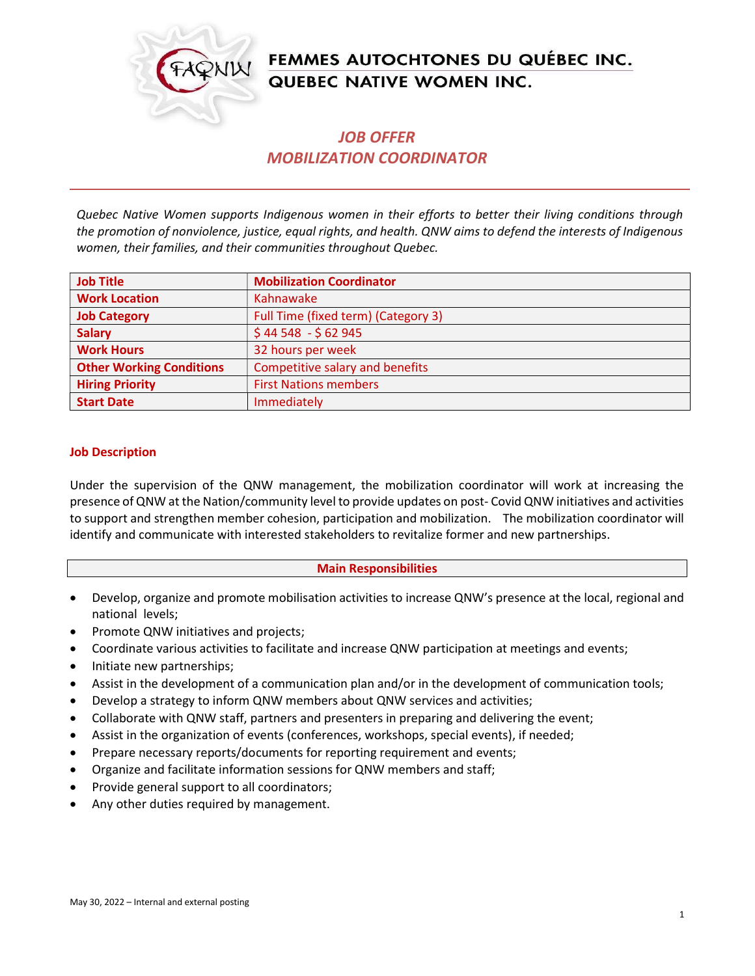

# FEMMES AUTOCHTONES DU QUÉBEC INC. **QUEBEC NATIVE WOMEN INC.**

## JOB OFFER MOBILIZATION COORDINATOR

Quebec Native Women supports Indigenous women in their efforts to better their living conditions through the promotion of nonviolence, justice, equal rights, and health. QNW aims to defend the interests of Indigenous women, their families, and their communities throughout Quebec.

| <b>Job Title</b>                | <b>Mobilization Coordinator</b>     |
|---------------------------------|-------------------------------------|
| <b>Work Location</b>            | Kahnawake                           |
| <b>Job Category</b>             | Full Time (fixed term) (Category 3) |
| <b>Salary</b>                   | $$44548 - $62945$                   |
| <b>Work Hours</b>               | 32 hours per week                   |
| <b>Other Working Conditions</b> | Competitive salary and benefits     |
| <b>Hiring Priority</b>          | <b>First Nations members</b>        |
| <b>Start Date</b>               | Immediately                         |

#### Job Description

Under the supervision of the QNW management, the mobilization coordinator will work at increasing the presence of QNW at the Nation/community level to provide updates on post- Covid QNW initiatives and activities to support and strengthen member cohesion, participation and mobilization. The mobilization coordinator will identify and communicate with interested stakeholders to revitalize former and new partnerships.

#### Main Responsibilities

- Develop, organize and promote mobilisation activities to increase QNW's presence at the local, regional and national levels;
- Promote QNW initiatives and projects;
- Coordinate various activities to facilitate and increase QNW participation at meetings and events;
- Initiate new partnerships;
- Assist in the development of a communication plan and/or in the development of communication tools;
- Develop a strategy to inform QNW members about QNW services and activities;
- Collaborate with QNW staff, partners and presenters in preparing and delivering the event;
- Assist in the organization of events (conferences, workshops, special events), if needed;
- Prepare necessary reports/documents for reporting requirement and events;
- Organize and facilitate information sessions for QNW members and staff;
- Provide general support to all coordinators;
- Any other duties required by management.